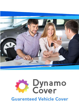

# **Dynamo**<br>Cover **Guarenteed Vehicle Cover**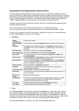# **Guaranteed Hire Replacement Vehicle Policy**

This Guaranteed Hire Replacement Vehicle insurance policy is arranged by Strategic Insurance Services Limited and is underwritten by Astrenska Insurance Limited. Astrenska Insurance Limited is authorised by the Prudential Regulation Authority and regulated by the Financial Conduct Authority and the Prudential Regulation Authority. Firm Reference No. 202846. Registered in England No. 1708613. Registered Office: Cutlers Exchange, 123 Houndsditch, London EC3A 7BU.

Strategic Insurance Services Limited (FCA number 307133) are authorised and regulated by the Financial Conduct Authority.

This can be checked on the Financial Services register by visiting the website at [www.fca.org.uk/firms/systems-reporting/register o](http://www.fca.org.uk/firms/systems-reporting/register)r by contacting them on 0800 111 6768.

In return for the payment by **You** of the premium, payable for this policy of insurance **We** will provide a **Hire Vehicle** on the terms set out below.

| <b>Claims</b><br><b>Administrator</b> | Davies Group Limited                                                                                                                                                                                            |
|---------------------------------------|-----------------------------------------------------------------------------------------------------------------------------------------------------------------------------------------------------------------|
| <b>Commencement</b><br><b>Date</b>    | The date shown on the policy <b>Schedule</b> confirming when cover commences                                                                                                                                    |
| <b>Condition</b>                      | An obligation which You must perform. If a Condition is not performed by<br>You, We will not be under any liability to pay You anything under the terms of<br>this policy                                       |
| <b>Hire Vehicle(s)</b>                | The class of vehicle shown on Your policy Schedule                                                                                                                                                              |
| Hire Company (s)                      | The company that We instruct to give You the Hire Vehicle                                                                                                                                                       |
| <b>Hire Period</b>                    | The maximum period, as shown in Your policy Schedule, that We will pay<br>for the Hire Vehicle                                                                                                                  |
| <b>Limit of Cover</b>                 | The Hire Vehicle for the Hire Period, that may be utilised over a maximum of<br>2 claims covered by this policy in the insurance period                                                                         |
| <b>Insured Vehicle</b>                | The motor vehicle identified as the Insured Vehicle in the policy Schedule or<br>any other vehicle which We may, after receiving a written request from You,<br>accept in substitution for that vehicle         |
| <b>Period of Cover</b>                | The period stated in the Schedule to this policy                                                                                                                                                                |
| <b>Schedule</b>                       | The document that identifies the policyholder and sets out details of the<br>cover Your policy provides                                                                                                         |
| <b>Territorial Limits</b>             | England, Wales, Scotland and Northern Ireland                                                                                                                                                                   |
| <b>Third Party</b>                    | The other person(s) and/or party(s) responsible for the incident giving rise to a<br>claim on this policy                                                                                                       |
| We, Our, Us,<br><b>Insurer</b>        | Astrenska insurance Limited                                                                                                                                                                                     |
| <b>Un Driveable</b>                   | The vehicle is not legally roadworthy (excluding glass damage) and is off the<br>road being repaired as a result of a road traffic collision, fire, malicious<br>damage or theft/attempted theft of the vehicle |
| You, Your                             | The person named as the insured in the Schedule to this policy                                                                                                                                                  |
| <b>Your Claim</b>                     | A claim by You against Your existing motor policy                                                                                                                                                               |

# **1. Definitions**

#### **2. Cover**

If the **Insured Vehicle** is damaged and rendered **Un Driveable** by a single road traffic collision, fire, malicious damage, theft or attempted theft, (excluding if due to glass damage,) and the incident occurs within the **Territorial Limits**, **We** will arrange for a **Hire Vehicle**, for **Your** use during the reasonable repair period only or until 3 days following payment has been issued to **You**  in settlement of **Your** vehicle claim in any event not exceeding the **Limit of Cover.**

Use of the **Hire Vehicle** is covered for use within the **Territorial Limits** only.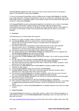The **Hire Vehicles** supplied are fully serviced, less than 3 years old and will be of the group or higher of that specified in **Your** policy **Schedule**.

If, due to circumstances beyond **Our** control and **We** cannot arrange a **Hire Vehicle** for **You We**  may, at **Our** discretion, reimburse transportation costs up to a maximum of £20.00 per day for the period **Your** vehicle is unavailable subject to the number of days cover provided under **Your** policy as shown on **Your** policy **Schedule**.

If the **Insured Vehicle** has been professionally adapted or converted to carry a driver or passenger with disabilities and another suitable vehicle is not available, **We** will reimburse **Your**  transportation costs up to a maximum of £20.00 per for the period **Your** vehicle is unavailable for use, subject to the number of days cover provided under **Your** policy as shown on your policy schedule.

# **3. Exclusions**

The following are not covered under this insurance:

- a) Drivers 21 or under in England, Wales, Scotland and Northern Ireland
- b) Any **Insured Vehicle** used in any way for hire or reward including courier work. A vehicle used for Driving Instruction/Tuition is accepted where the appropriate premium has been paid
- c) Any vehicle used for Driver Instruction/Tuition where the tutor is not a fully qualified Instructor and/or not on "The Register of Approved Driving Instructors' or "Department of the Environment Approved Driving Instructor" in Northern Ireland
- d) Any vehicle used for Driver Instruction/Tuition without dual controls
- e) Any charges imposed by the **Hire Vehicle Company** for additional drivers if it is agreed with the **Hire Vehicle Company** that they can be included
- f) Use of the **Hire Vehicle** outside the **Territorial Limits**
- g) Any excess that the **Hire Company** apply following an accident, fire or theft involving the **Hire Vehicle**
- h) All fuel, fares and fines relating to the **Hire Vehicle** whilst it is in **Your** possession, including any administration fee which may be imposed by the **Hire Vehicle Company**
- i) Any claim which has not been reported to **Us** within 14 days of the incident, accident or theft giving rise to the claim occurring
- j) Any provision of a **Hire Vehicle** where a **Hire Vehicle** is already available under another insurance or other means
- k) Any further **Hire Vehicle** charges incurred after the **Hire Period**
- l) Any **Hire Vehicle** charges for more than 3 days after payment has been issued to **You** in settlement of a claim under **Your** motor insurance policy
- m) The provision of a **Hire Vehicle** for an incident, accident or theft when the event occurred prior to the **Commencement Date** or after the **Period of Cover** has ended
- n) Any claim where the damage sustained to the vehicle was caused during the theft/attempted theft of the contents of the vehicle
- o) Any claim relating to mechanical or electrical breakdown/failure or misfuelling
- p) Fires caused by modifications not approved by the **Insured Vehicle** manufacturer, or not fitted an appropriately qualified mechanic/technician, and/or not disclosed to the main motor insurer
- q) Claims relating to a vehicle being **Undriveable** due to damage relating to more than one single incident

# **4. Claims Procedure**

If the **Insured Vehicle** is involved in a road traffic collision, suffers fire or malicious damage or is stolen **You** must report it to the **Claims Administrator** immediately, and in no event later than 14 days after the event.

Visit [www.vehiclehireclaims.davies-group.com](http://www.vehiclehireclaims.davies-group.com/) where **You** will be able to register **Your** claim. **Our**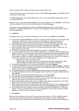internet solution is the quickest and easiest way to submit **Your** claim.

If **You** do not have access to the internet, please call the **Claims Administrator** on 0344 856 2359 to notify them of **Your** claim.

The **Hire Company** will then contact **You** directly with a view to getting **You** mobile again as soon as reasonably possible.

**You** will receive a copy of the **Hire Company's** terms and conditions. It is a **Condition** of this policy that **You** comply fully with the terms and conditions of the **Hire Company**.

If **You** wish to take advantage of any options the **Hire Company** may offer, such as Excess Protection or Collision Damage Waiver, the cost of these upgrades and any administration fee will be **Your** responsibility.

#### **5. Conditions**

**You must** comply with the following obligations, each of which is a **Condition** of this **Policy**:

- a) Ensure that the **Insured Vehicle** is serviced in accordance with manufacturer's instructions and covered by a valid in force motor insurance policy issued by an insurer authorised and regulated by the Financial Conduct Authority or the Prudential Regulation Authority
- b) The incident that gives rise to a claim on this policy must have been reported to **Your** motor insurers and **You** must be actively pursuing repairs or settlement of **Your Claim**
- c) Ensure that **We** receive a claim form for any claim under this policy within 14 days after the event giving rise to the claim
- d) Provide any information reasonably requested by **Us** within a reasonable time.
- e) If any claim under this Policy is in any respect fraudulent or unfounded, all benefit paid and/or payable in relation to that fraudulent claim shall be forfeited and recoverable. **We** shall not be liable to **You** in respect of a relevant claim occurring after the time of the fraudulent act. For the avoidance of doubt, the rights and obligations of the parties to the contract with respect to claims occurring before the time of the fraudulent act are unaffected; and
	- **We** need not return any Premiums paid
	- **We** may share information about the circumstances with other organisations, public bodies, authorities and law enforcement agencies for criminal investigation
- f) **You** should comply fully with the terms and conditions of the **Hire Company**
- g) It is **Your** responsibility to ensure that the insurance provided by the **Hire Company** is sufficient for **Your** needs. This will normally be included without additional charge providing **Your** driving history is acceptable to the **Hire Company**
- h) Any damage caused to the **Hire Vehicle** and any associated costs will be **Your** responsibility
- i) It is **Your** responsibility to ensure that adequate motor insurance is in place for **Your** use of the **Hire Vehicle**
- j) **You** may have to provide Comprehensive insurance for the **Hire Vehicle**
- k) **You** must take all reasonable steps to mitigate the costs of the claim
- **l) You** must take all action possible to recover any costs, charges or fees **We** may have paid or be liable to pay and pay such amounts recovered back to **Us**
- m) **You** must pay **Us** any sums by way of costs, charges or fees directly recovered form the **Third Party** to the extent of the sums indemnified under this policy
- n) Upon conclusion of the hire of a replacement vehicle **We** can take over and if necessary conduct proceedings in **Your** name to recover the hire costs of the **Hire Vehicle** from the **Third Party**
- o) Unless some other law is agreed in writing, this policy is governed by English law. If there is a dispute, it will only be dealt with in the courts of England or of the country within the United Kingdom in which your main residence is situated.

# **6. Cancellation**

**We** hope **You** are happy with the cover this policy provides. However, if after reading this policy this insurance does not meet with **Your** requirements, please return it to **Your** selling broker, within 14 days of issue and **We** will refund **Your** premium. Thereafter, **You** may cancel **Your** policy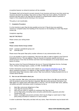at anytime however no refund of premium will be available.

The **Insurer** shall not be bound to accept renewal of any insurance and may at any time cancel any insurance document by sending 7 days notice to **You** at **Your** last known address. Provided the premium has been paid in full **You** shall be entitled to a proportionate rebate of premium in respect of the unexpired period showing on the insurance.

This policy is not transferable.

#### **7. Complaints Procedure**

It is the intention to give **You** the best possible service but if **You** do have any questions, concerns or complaint about the handling of this insurance or the handling of a claim **You** should contact **Us.**

Complaints regarding:

#### **SALE OF THE POLICY**

Please contact your selling broker

#### **CLAIMS**

#### **Please contact Davies Group Limited**

Email: customer.care@davies-group.com Tel: 0344 856 2015

Please ensure **You** quote **Your** policy number reference in any communication with us.

If it is not possible to reach an agreement, **You** have the right to make an appeal to the Financial Ombudsman Service. This also applies if **You** are insured in a business capacity and have an annual turnover of less than £6.5million and fewer than 50 employees or an annual balance sheet below £5 million.

**You** may contact the Financial Ombudsman Service at: Financial Ombudsman Service, Exchange Tower, Harbour Exchange Square, London, E14 9SR. Tel 0845 080 1800.

Further information can be found on their website at [www.financial-ombudsman.org.uk.](http://www.financial-ombudsman.org.uk/) The above complaints procedure is in addition to **Your** statutory rights as a consumer. For further information about **Your** statutory rights contact **Your** local authority Trading Standards Service or Citizens Advice Bureau.

#### **8. How we use information about you**

As a data controller, **We** collect and process information about **You** so that **We** can provide **You** with the products and services **You** have requested. **We** also receive personal information from **Your** agent on a regular basis while **Your** policy is still live. This will include **Your** name, address, risk details and other information which is necessary for **Us** to:

- Meet **Our** contractual obligations to **You**;
- issue **You** this Insurance Policy;
- deal with any claims or requests for assistance that **You** may have
- service Your policy (including claims and policy administration, payments and other transactions); and,
- detect, investigate and prevent activities which may be illegal or could result in **Your** policy being cancelled or treated as if it never existed.

In order to administer **Your** policy and deal with any claims, **Your** information may be shared with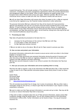trusted third parties. This will include members of The Collinson Group, third party administrators, contractors, investigators and claims management organisations where they provide administration and management support on Our behalf. Some of these companies are based outside of the European Union where different data privacy laws apply. Wherever possible, **We** will have strict contractual terms in place to make sure that Your information remains safe and secure.

**We** will not share **Your** information with anyone else unless You agree to this, or **We** are required to do this by Our regulators (e.g. the Financial Conduct Authority) or other authorities.

The personal information **We** have collected from **You** will be shared with fraud prevention agencies and databases who will use it to prevent fraud and money-laundering and to verify **Your** identity. If fraud is detected, **You** could be refused certain services, finance, or employment. Further details of how **Your** information will be used by **Us** and these fraud prevention agencies and databases, and **Your** data protection rights, can be found by visiting www.cifas.org.uk/fpn and www.insurancefraudbureau.org/privacy-policy.

#### **9. Processing your data**

**Your** data will generally be processed on the basis that it is:

- necessary for the performance of the contract that We have with You;
- is in the public or Your vital interest: or
- for **Our** legitimate business interests

If **We** are not able to rely on the above, **We** will ask for **Your** consent to process your data.

#### **10. How we store and protect your information**

All personal information collected by **Us** is stored on secure servers which are either in the United Kingdom or European Union.

**We** will need to keep and process your personal information during the period of insurance and after this time so that **We** can meet our regulatory obligations or to deal with any reasonable requests from **Our** regulators and other authorities.

**We** also have security measures in place in our offices to protect the information that **You** have given **Us**.

#### **11. How you can access your information and correct anything which is wrong**

**You** have the right to request a copy of the information that **We** hold about **You**. If **You** would like a copy of some or all of **Your** personal information please contact **Us** by email or letter as shown below:

Sussex House Perrymount Road Haywards Heath Sussex RH16 1DN E: [data.protection@collinsongroup.com](mailto:data.protection@collinsongroup.com)

This will normally be provided free of charge, but in some circumstances, **We** may either make a reasonable charge for this service, or refuse to give **You** this information if your request is clearly unjustified or excessive.

**We** want to make sure that **Your** personal information is accurate and up to date. **You** may ask **Us** to correct or remove information **You** think is inaccurate.

If **You** wish to make a complaint about the use of **Your** personal information, please contact **Our** Complaints manager using the details above. You can also complain directly to the Information Commissioner's Office (ICO). Further information can be found at https://ico.org.uk/Consumer Insurance Act.